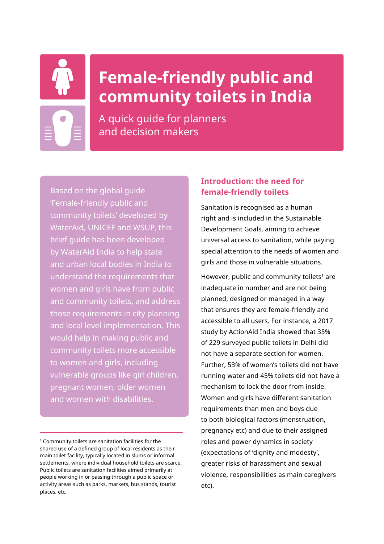

# **Female-friendly public and community toilets in India**

A quick guide for planners and decision makers

Based on the global guide 'Female-friendly public and community toilets' developed by WaterAid, UNICEF and WSUP, this brief guide has been developed by WaterAid India to help state and urban local bodies in India to understand the requirements that women and girls have from public and community toilets, and address those requirements in city planning and local level implementation. This would help in making public and community toilets more accessible to women and girls, including vulnerable groups like girl children, pregnant women, older women and women with disabilities.

## **Introduction: the need for female-friendly toilets**

Sanitation is recognised as a human right and is included in the Sustainable Development Goals, aiming to achieve universal access to sanitation, while paying special attention to the needs of women and girls and those in vulnerable situations.

However, public and community toilets<sup>1</sup> are inadequate in number and are not being planned, designed or managed in a way that ensures they are female-friendly and accessible to all users. For instance, a 2017 study by ActionAid India showed that 35% of 229 surveyed public toilets in Delhi did not have a separate section for women. Further, 53% of women's toilets did not have running water and 45% toilets did not have a mechanism to lock the door from inside. Women and girls have different sanitation requirements than men and boys due to both biological factors (menstruation, pregnancy etc) and due to their assigned roles and power dynamics in society (expectations of 'dignity and modesty', greater risks of harassment and sexual violence, responsibilities as main caregivers etc).

<sup>1</sup> Community toilets are sanitation facilities for the shared use of a defined group of local residents as their main toilet facility, typically located in slums or informal settlements, where individual household toilets are scarce. Public toilets are sanitation facilities aimed primarily at people working in or passing through a public space or activity areas such as parks, markets, bus stands, tourist places, etc.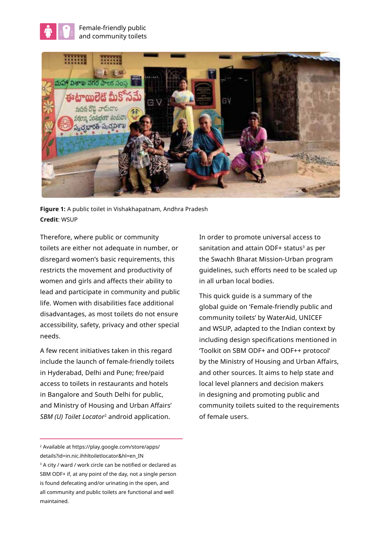



**Figure 1:** A public toilet in Vishakhapatnam, Andhra Pradesh **Credit**: WSUP

Therefore, where public or community toilets are either not adequate in number, or disregard women's basic requirements, this restricts the movement and productivity of women and girls and affects their ability to lead and participate in community and public life. Women with disabilities face additional disadvantages, as most toilets do not ensure accessibility, safety, privacy and other special needs.

A few recent initiatives taken in this regard include the launch of female-friendly toilets in Hyderabad, Delhi and Pune; free/paid access to toilets in restaurants and hotels in Bangalore and South Delhi for public, and Ministry of Housing and Urban Affairs' *SBM (U) Toilet Locator*2 android application.

In order to promote universal access to sanitation and attain ODF+ status<sup>3</sup> as per the Swachh Bharat Mission-Urban program guidelines, such efforts need to be scaled up in all urban local bodies.

This quick guide is a summary of the global guide on 'Female-friendly public and community toilets' by WaterAid, UNICEF and WSUP, adapted to the Indian context by including design specifications mentioned in 'Toolkit on SBM ODF+ and ODF++ protocol' by the Ministry of Housing and Urban Affairs, and other sources. It aims to help state and local level planners and decision makers in designing and promoting public and community toilets suited to the requirements of female users.

<sup>2</sup> Available at https://play.google.com/store/apps/ details?id=in.nic.ihhltoiletlocator&hl=en\_IN <sup>3</sup> A city / ward / work circle can be notified or declared as SBM ODF+ if, at any point of the day, not a single person is found defecating and/or urinating in the open, and all community and public toilets are functional and well maintained.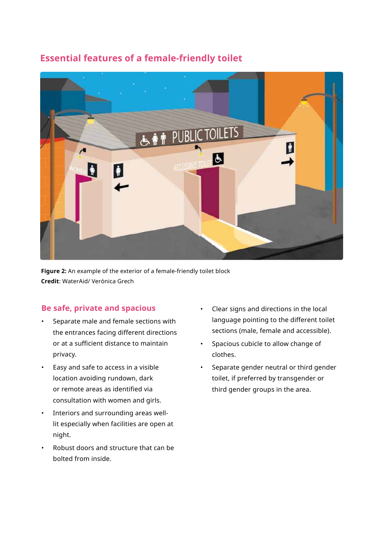## **Essential features of a female-friendly toilet**



**Figure 2:** An example of the exterior of a female-friendly toilet block **Credit**: WaterAid/ Verónica Grech

#### **Be safe, private and spacious**

- Separate male and female sections with the entrances facing different directions or at a sufficient distance to maintain privacy.
- Easy and safe to access in a visible location avoiding rundown, dark or remote areas as identified via consultation with women and girls.
- Interiors and surrounding areas welllit especially when facilities are open at night.
- Robust doors and structure that can be bolted from inside.
- Clear signs and directions in the local language pointing to the different toilet sections (male, female and accessible).
- Spacious cubicle to allow change of clothes.
- Separate gender neutral or third gender toilet, if preferred by transgender or third gender groups in the area.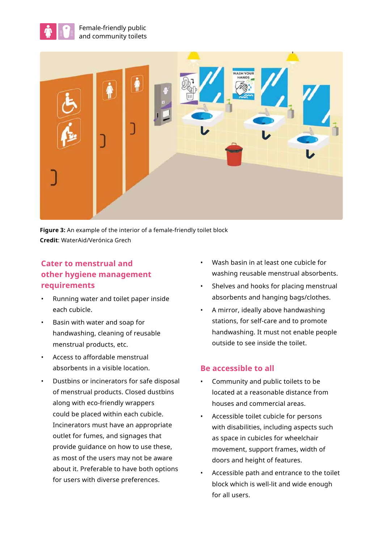



**Figure 3:** An example of the interior of a female-friendly toilet block **Credit**: WaterAid/Verónica Grech

## **Cater to menstrual and other hygiene management requirements**

- Running water and toilet paper inside each cubicle.
- Basin with water and soap for handwashing, cleaning of reusable menstrual products, etc.
- Access to affordable menstrual absorbents in a visible location.
- Dustbins or incinerators for safe disposal of menstrual products. Closed dustbins along with eco-friendly wrappers could be placed within each cubicle. Incinerators must have an appropriate outlet for fumes, and signages that provide guidance on how to use these, as most of the users may not be aware about it. Preferable to have both options for users with diverse preferences.
- Wash basin in at least one cubicle for washing reusable menstrual absorbents.
- Shelves and hooks for placing menstrual absorbents and hanging bags/clothes.
- A mirror, ideally above handwashing stations, for self-care and to promote handwashing. It must not enable people outside to see inside the toilet.

#### **Be accessible to all**

- Community and public toilets to be located at a reasonable distance from houses and commercial areas.
- Accessible toilet cubicle for persons with disabilities, including aspects such as space in cubicles for wheelchair movement, support frames, width of doors and height of features.
- Accessible path and entrance to the toilet block which is well-lit and wide enough for all users.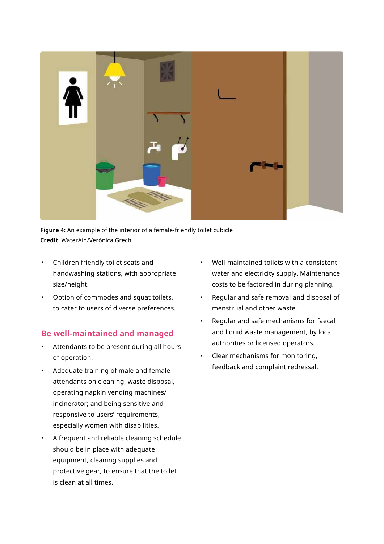

**Figure 4:** An example of the interior of a female-friendly toilet cubicle **Credit**: WaterAid/Verónica Grech

- Children friendly toilet seats and handwashing stations, with appropriate size/height.
- Option of commodes and squat toilets, to cater to users of diverse preferences.

#### **Be well-maintained and managed**

- Attendants to be present during all hours of operation.
- Adequate training of male and female attendants on cleaning, waste disposal, operating napkin vending machines/ incinerator; and being sensitive and responsive to users' requirements, especially women with disabilities.
- A frequent and reliable cleaning schedule should be in place with adequate equipment, cleaning supplies and protective gear, to ensure that the toilet is clean at all times.
- Well-maintained toilets with a consistent water and electricity supply. Maintenance costs to be factored in during planning.
- Regular and safe removal and disposal of menstrual and other waste.
- Regular and safe mechanisms for faecal and liquid waste management, by local authorities or licensed operators.
- Clear mechanisms for monitoring, feedback and complaint redressal.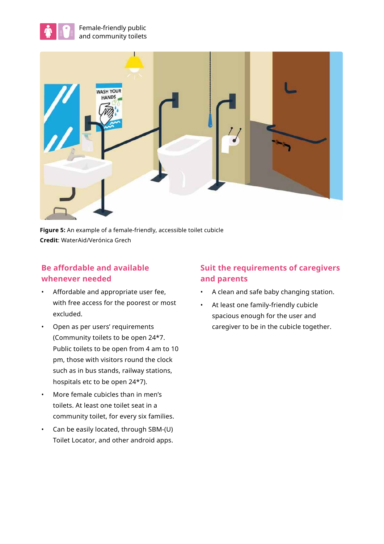



**Figure 5:** An example of a female-friendly, accessible toilet cubicle **Credit**: WaterAid/Verónica Grech

## **Be affordable and available whenever needed**

- Affordable and appropriate user fee, with free access for the poorest or most excluded.
- Open as per users' requirements (Community toilets to be open 24\*7. Public toilets to be open from 4 am to 10 pm, those with visitors round the clock such as in bus stands, railway stations, hospitals etc to be open 24\*7).
- More female cubicles than in men's toilets. At least one toilet seat in a community toilet, for every six families.
- Can be easily located, through SBM-(U) Toilet Locator, and other android apps.

## **Suit the requirements of caregivers and parents**

- A clean and safe baby changing station.
- At least one family-friendly cubicle spacious enough for the user and caregiver to be in the cubicle together.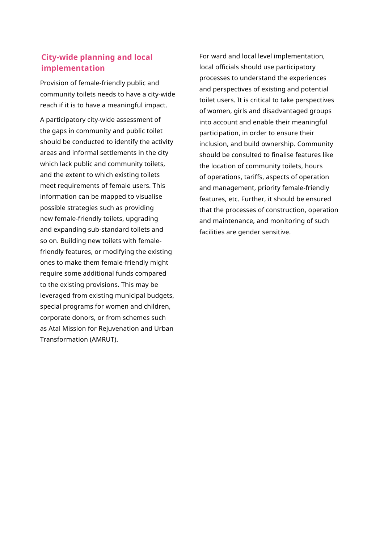#### **City-wide planning and local implementation**

Provision of female-friendly public and community toilets needs to have a city-wide reach if it is to have a meaningful impact.

A participatory city-wide assessment of the gaps in community and public toilet should be conducted to identify the activity areas and informal settlements in the city which lack public and community toilets, and the extent to which existing toilets meet requirements of female users. This information can be mapped to visualise possible strategies such as providing new female-friendly toilets, upgrading and expanding sub-standard toilets and so on. Building new toilets with femalefriendly features, or modifying the existing ones to make them female-friendly might require some additional funds compared to the existing provisions. This may be leveraged from existing municipal budgets, special programs for women and children, corporate donors, or from schemes such as Atal Mission for Rejuvenation and Urban Transformation (AMRUT).

For ward and local level implementation, local officials should use participatory processes to understand the experiences and perspectives of existing and potential toilet users. It is critical to take perspectives of women, girls and disadvantaged groups into account and enable their meaningful participation, in order to ensure their inclusion, and build ownership. Community should be consulted to finalise features like the location of community toilets, hours of operations, tariffs, aspects of operation and management, priority female-friendly features, etc. Further, it should be ensured that the processes of construction, operation and maintenance, and monitoring of such facilities are gender sensitive.